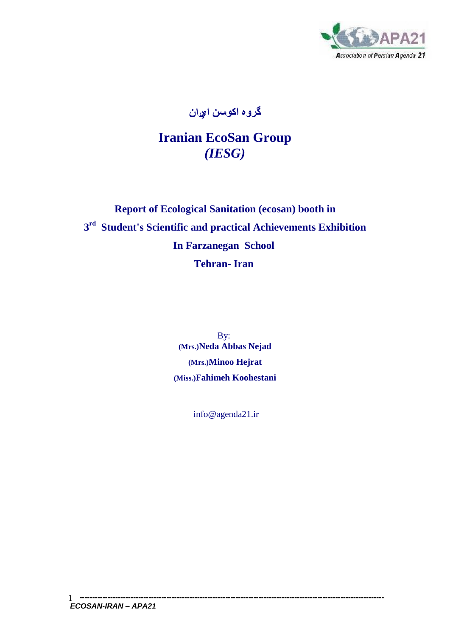

**گروه اکوسن ايران** 

## **Iranian EcoSan Group** *(IESG)*

## **Report of Ecological Sanitation (ecosan) booth in 3 rd Student's Scientific and practical Achievements Exhibition In Farzanegan School Tehran- Iran**

By: **(Mrs.)Neda Abbas Nejad (Mrs.)Minoo Hejrat (Miss.)Fahimeh Koohestani**

info@agenda21.ir

**-----------------------------------------------------------------------------------------------------------------------** *ECOSAN-IRAN – APA21*  1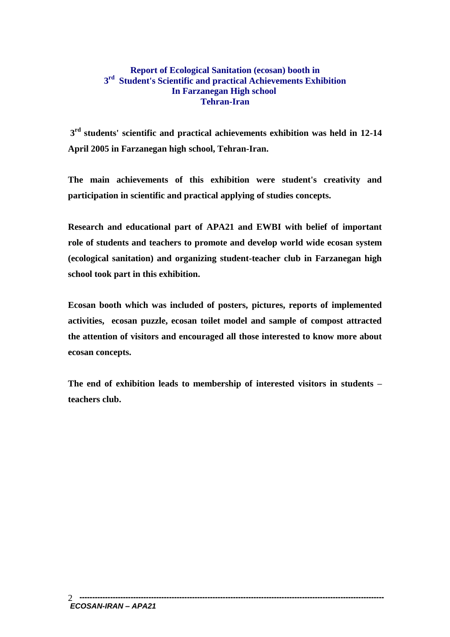## **Report of Ecological Sanitation (ecosan) booth in 3 rd Student's Scientific and practical Achievements Exhibition In Farzanegan High school Tehran-Iran**

**3 rd students' scientific and practical achievements exhibition was held in 12-14 April 2005 in Farzanegan high school, Tehran-Iran.**

**The main achievements of this exhibition were student's creativity and participation in scientific and practical applying of studies concepts.**

**Research and educational part of APA21 and EWBI with belief of important role of students and teachers to promote and develop world wide ecosan system (ecological sanitation) and organizing student-teacher club in Farzanegan high school took part in this exhibition.**

**Ecosan booth which was included of posters, pictures, reports of implemented activities, ecosan puzzle, ecosan toilet model and sample of compost attracted the attention of visitors and encouraged all those interested to know more about ecosan concepts.**

**The end of exhibition leads to membership of interested visitors in students – teachers club.**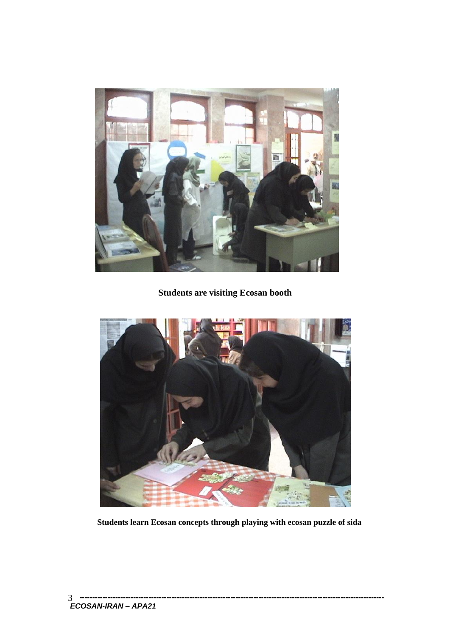

**Students are visiting Ecosan booth**



**Students learn Ecosan concepts through playing with ecosan puzzle of sida**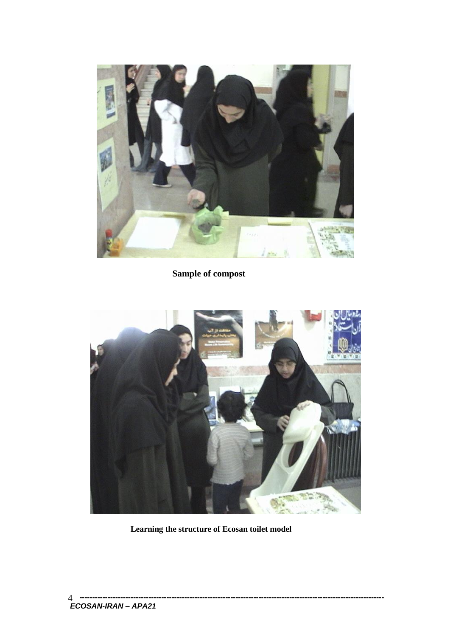

## **Sample of compost**



 **Learning the structure of Ecosan toilet model**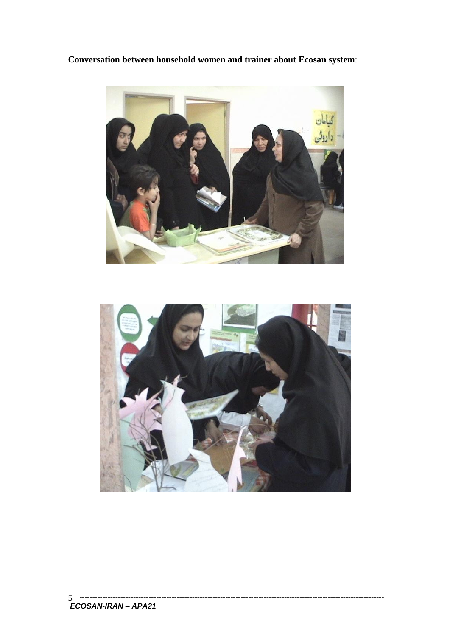**Conversation between household women and trainer about Ecosan system**:



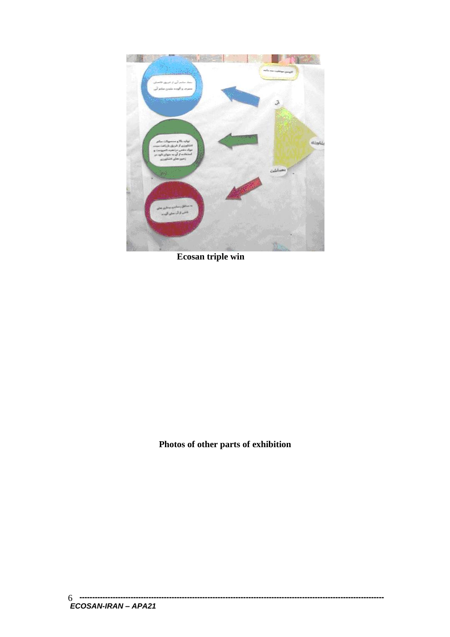

 **Ecosan triple win**

**Photos of other parts of exhibition**